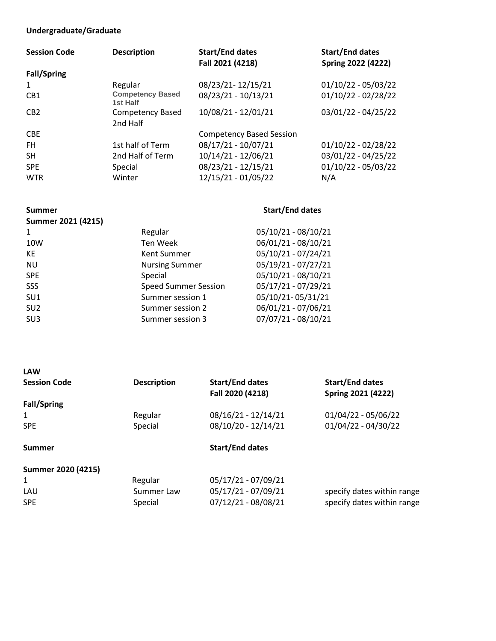## **Undergraduate/Graduate**

| <b>Session Code</b> | <b>Description</b>                  | <b>Start/End dates</b><br>Fall 2021 (4218) | <b>Start/End dates</b><br><b>Spring 2022 (4222)</b> |
|---------------------|-------------------------------------|--------------------------------------------|-----------------------------------------------------|
| <b>Fall/Spring</b>  |                                     |                                            |                                                     |
| 1                   | Regular                             | 08/23/21-12/15/21                          | $01/10/22 - 05/03/22$                               |
| CB <sub>1</sub>     | <b>Competency Based</b><br>1st Half | 08/23/21 - 10/13/21                        | $01/10/22 - 02/28/22$                               |
| CB2                 | Competency Based<br>2nd Half        | 10/08/21 - 12/01/21                        | 03/01/22 - 04/25/22                                 |
| <b>CBE</b>          |                                     | <b>Competency Based Session</b>            |                                                     |
| FH.                 | 1st half of Term                    | 08/17/21 - 10/07/21                        | $01/10/22 - 02/28/22$                               |
| <b>SH</b>           | 2nd Half of Term                    | 10/14/21 - 12/06/21                        | 03/01/22 - 04/25/22                                 |
| <b>SPE</b>          | Special                             | 08/23/21 - 12/15/21                        | $01/10/22 - 05/03/22$                               |
| <b>WTR</b>          | Winter                              | 12/15/21 - 01/05/22                        | N/A                                                 |

| <b>Summer</b>      |                             | <b>Start/End dates</b> |
|--------------------|-----------------------------|------------------------|
| Summer 2021 (4215) |                             |                        |
|                    | Regular                     | 05/10/21 - 08/10/21    |
| 10W                | Ten Week                    | 06/01/21 - 08/10/21    |
| KE                 | Kent Summer                 | 05/10/21 - 07/24/21    |
| <b>NU</b>          | <b>Nursing Summer</b>       | 05/19/21 - 07/27/21    |
| <b>SPE</b>         | Special                     | 05/10/21 - 08/10/21    |
| SSS                | <b>Speed Summer Session</b> | 05/17/21 - 07/29/21    |
| SU <sub>1</sub>    | Summer session 1            | 05/10/21-05/31/21      |
| SU <sub>2</sub>    | Summer session 2            | 06/01/21 - 07/06/21    |
| SU <sub>3</sub>    | Summer session 3            | 07/07/21 - 08/10/21    |
|                    |                             |                        |

| <b>LAW</b>          |                    |                                            |                                              |
|---------------------|--------------------|--------------------------------------------|----------------------------------------------|
| <b>Session Code</b> | <b>Description</b> | <b>Start/End dates</b><br>Fall 2020 (4218) | <b>Start/End dates</b><br>Spring 2021 (4222) |
| <b>Fall/Spring</b>  |                    |                                            |                                              |
| 1                   | Regular            | 08/16/21 - 12/14/21                        | $01/04/22 - 05/06/22$                        |
| <b>SPE</b>          | Special            | 08/10/20 - 12/14/21                        | $01/04/22 - 04/30/22$                        |
| Summer              |                    | <b>Start/End dates</b>                     |                                              |
| Summer 2020 (4215)  |                    |                                            |                                              |
| 1                   | Regular            | 05/17/21 - 07/09/21                        |                                              |
| LAU                 | Summer Law         | 05/17/21 - 07/09/21                        | specify dates within range                   |

SPE Special Special 07/12/21 - 08/08/21 specify dates within range